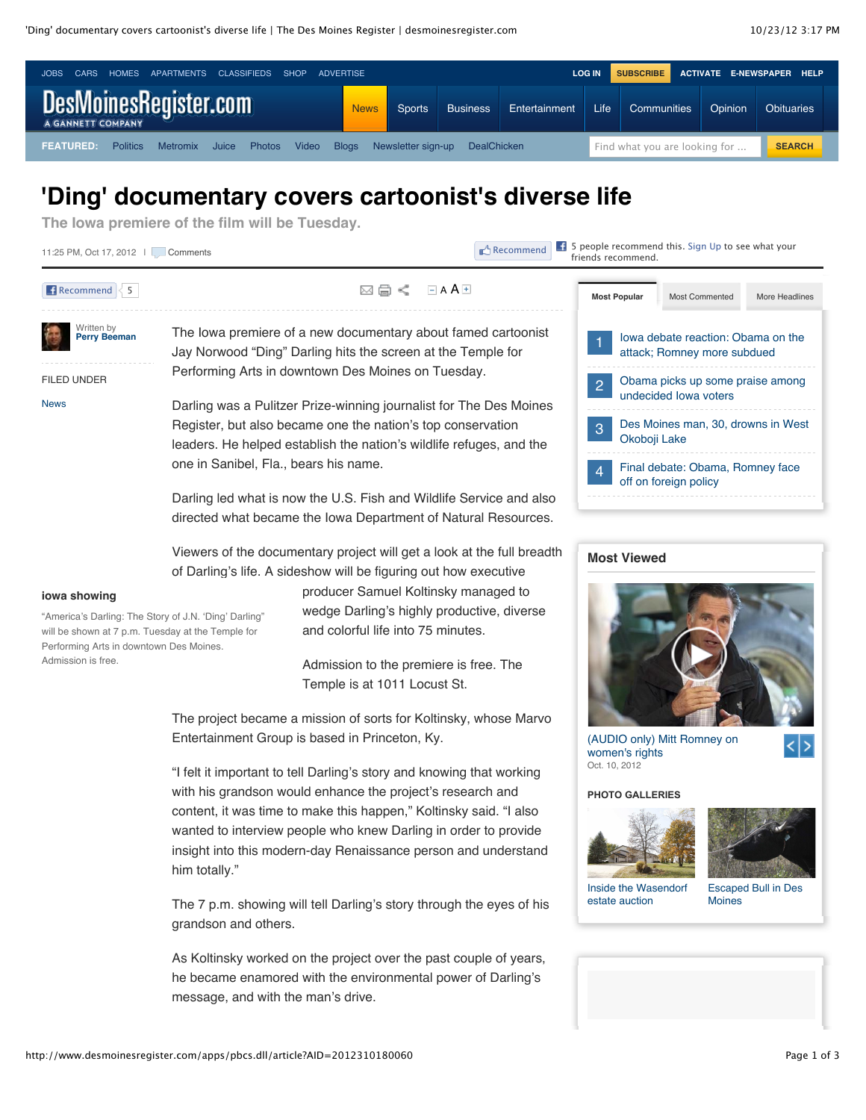

## **'Ding' documentary covers cartoonist's diverse life**

**The Iowa premiere of the film will be Tuesday.**



The 7 p.m. showing will tell Darling's story through the eyes of his grandson and others.

As Koltinsky worked on the project over the past couple of years, he became enamored with the environmental power of Darling's message, and with the man's drive.



[Escaped Bull in Des](http://www.desmoinesregister.com/apps/pbcs.dll/gallery?Avis=D2&Dato=20121012&Kategori=NEWS&Lopenr=210120801&Ref=PH&nclick_check=1) Moines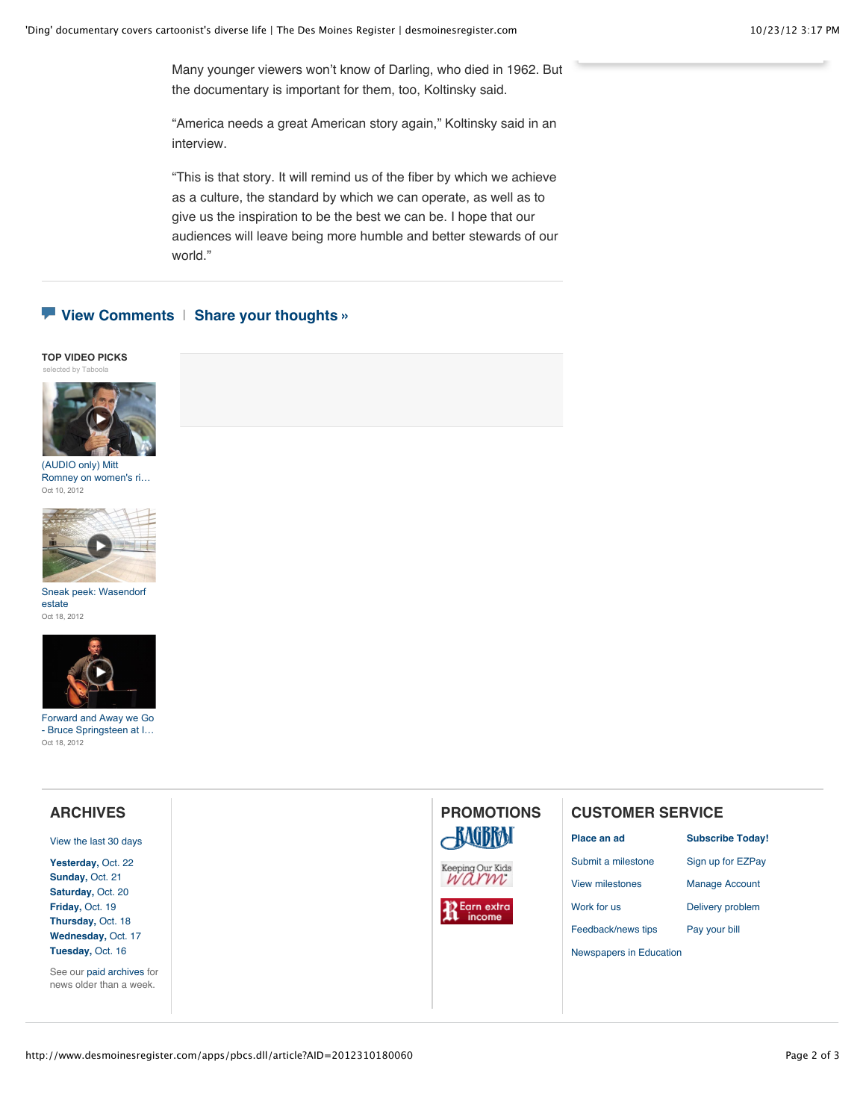Many younger viewers won't know of Darling, who died in 1962. But the documentary is important for them, too, Koltinsky said.

"America needs a great American story again," Koltinsky said in an interview.

"This is that story. It will remind us of the fiber by which we achieve as a culture, the standard by which we can operate, as well as to give us the inspiration to be the best we can be. I hope that our audiences will leave being more humble and better stewards of our world."

### **[View Comments](http://www.desmoinesregister.com/comments/article/20121018/NEWS/310180060/-Ding-documentary-covers-cartoonist-s-diverse-life)** | **[Share your thoughts »](http://www.desmoinesregister.com/comments/article/20121018/NEWS/310180060/-Ding-documentary-covers-cartoonist-s-diverse-life)**

#### **TOP VIDEO PICKS** [selected by Taboola](http://services.taboolasyndication.com/publisher/gannett-desmoinesregister/rbox?item-id=/article/20121018/news/310180060/-ding-documentary-covers-cartoonist-s-diverse-life)



(AUDIO only) Mitt [Romney on women's ri…](http://www.desmoinesregister.com/videonetwork/1891936152001?odyssey=mod%7Ctvideo%7Carticle) Oct 10, 2012



[Sneak peek: Wasendorf](http://www.desmoinesregister.com/videonetwork/1910481520001?odyssey=mod%7Ctvideo%7Carticle) estate Oct 18, 2012



Forward and Away we Go [- Bruce Springsteen at I…](http://www.desmoinesregister.com/videonetwork/1911073682001?odyssey=mod%7Ctvideo%7Carticle) Oct 18, 2012

#### **ARCHIVES PROMOTIONS [CUSTOMER SERVICE](http://www.desmoinesregister.com/section/carriers)AAGBRAN [Place an ad](http://www.desmoinesregister.com/ezclassifieds) [Subscribe Today!](http://www.desmoinesregister.com/subscribe)** [View the last 30 days](http://www.desmoinesregister.com/section/archive) [Submit a milestone](http://www.desmoinesregister.com/milestones) [Sign up for EZPay](http://www.desmoinesregister.com/ezpay) **[Yesterday,](http://www.desmoinesregister.com/section/archive&archivedate=20121022)** Oct. 22 Keeping Our Kids<br>WAYW **[Sunday,](http://www.desmoinesregister.com/section/archive&archivedate=20121021)** Oct. 21 [View milestones](http://www.legacy.com/desmoinesregister/celebrations.asp) [Manage Account](http://www.desmoinesregister.com/myaccount) **[Saturday,](http://www.desmoinesregister.com/section/archive&archivedate=20121020)** Oct. 20 **[Friday,](http://www.desmoinesregister.com/section/archive&archivedate=20121019)** Oct. 19 **Earn** extra [Work for us](http://www.desmoinesregister.com/jobs/careers/index.html) [Delivery problem](http://www.desmoinesregister.com/myaccount) income **[Thursday,](http://www.desmoinesregister.com/section/archive&archivedate=20121018)** Oct. 18 [Feedback/news tips](http://www.desmoinesregister.com/apps/pbcs.dll/article?AID=/99999999/HELP/40517017) [Pay your bill](http://www.desmoinesregister.com/myaccount) **[Wednesday,](http://www.desmoinesregister.com/section/archive&archivedate=20121017)** Oct. 17 **[Tuesday,](http://www.desmoinesregister.com/section/archive&archivedate=20121016)** Oct. 16 [Newspapers in Education](http://www.desmoinesregister.com/nie) See our [paid archives](http://pqasb.pqarchiver.com/desmoinesregister/advancedsearch.html) for news older than a week.